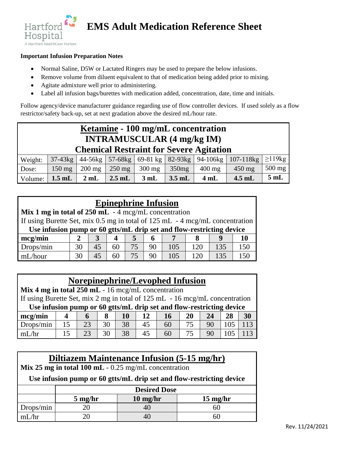

## **EMS Adult Medication Reference Sheet**

#### **Important Infusion Preparation Notes**

- Normal Saline, D5W or Lactated Ringers may be used to prepare the below infusions.
- Remove volume from diluent equivalent to that of medication being added prior to mixing.
- Agitate admixture well prior to administering.
- Label all infusion bags/burettes with medication added, concentration, date, time and initials.

Follow agency/device manufacturer guidance regarding use of flow controller devices. If used solely as a flow restrictor/safety back-up, set at next gradation above the desired mL/hour rate.

| Ketamine - 100 mg/mL concentration<br><b>INTRAMUSCULAR (4 mg/kg IM)</b><br><b>Chemical Restraint for Severe Agitation</b> |            |                  |          |                     |          |             |                  |             |
|---------------------------------------------------------------------------------------------------------------------------|------------|------------------|----------|---------------------|----------|-------------|------------------|-------------|
| Weight:                                                                                                                   | $37-43$ kg | $44-56$ kg       | 57-68kg  | 69-81 kg   82-93 kg |          | $94-106$ kg | $107 - 118$ kg   | $\geq$ 19kg |
| Dose:                                                                                                                     | $150$ mg   | $200 \text{ mg}$ | $250$ mg | $300$ mg            | 350mg    | $400$ mg    | $450 \text{ mg}$ | $500$ mg    |
| Volume:                                                                                                                   | $1.5$ mL   | 2mL              | $2.5$ mL | 3 mL                | $3.5$ mL | 4 mL        | $4.5$ mL         | 5mL         |

| <b>Epinephrine Infusion</b>                                                  |    |    |    |    |    |     |     |     |     |
|------------------------------------------------------------------------------|----|----|----|----|----|-----|-----|-----|-----|
| Mix 1 mg in total of $250$ mL $-4$ mcg/mL concentration                      |    |    |    |    |    |     |     |     |     |
| If using Burette Set, mix 0.5 mg in total of 125 mL - 4 mcg/mL concentration |    |    |    |    |    |     |     |     |     |
| Use infusion pump or 60 gtts/mL drip set and flow-restricting device         |    |    |    |    |    |     |     |     |     |
| mcg/min                                                                      |    | 3  |    | 5. | 6  |     |     |     | 10  |
| Drops/min                                                                    | 30 | 45 | 60 | 75 | 90 | 105 | 120 | 135 | 150 |
| mI /hour                                                                     | 30 | 45 | 60 | 75 | 90 | 105 | 120 | 135 | 150 |

### **Norepinephrine/Levophed Infusion**

| Mix 4 mg in total $250$ mL - 16 mcg/mL concentration                        |     |    |    |    |    |    |    |    |     |     |
|-----------------------------------------------------------------------------|-----|----|----|----|----|----|----|----|-----|-----|
| If using Burette Set, mix 2 mg in total of 125 mL - 16 mcg/mL concentration |     |    |    |    |    |    |    |    |     |     |
| Use infusion pump or 60 gtts/mL drip set and flow-restricting device        |     |    |    |    |    |    |    |    |     |     |
| mcg/min                                                                     |     |    |    | 10 | 12 | 16 | 20 | 24 | 28  | 30  |
| Drops/min                                                                   | 15  | 23 | 30 | 38 | 45 | 60 | 75 | 90 | 105 | 113 |
| mL/hr                                                                       | 15. | 23 | 30 | 38 | 45 | 60 | 75 | 90 |     |     |

### **Diltiazem Maintenance Infusion (5-15 mg/hr)**

**Mix 25 mg in total 100 mL** - 0.25 mg/mL concentration

**Use infusion pump or 60 gtts/mL drip set and flow-restricting device**

|           | <b>Desired Dose</b> |            |            |  |  |  |  |
|-----------|---------------------|------------|------------|--|--|--|--|
|           | $5$ mg/hr           | $10$ mg/hr | $15$ mg/hr |  |  |  |  |
| Drops/min |                     | 41         |            |  |  |  |  |
| mL/hr     |                     | +เ         |            |  |  |  |  |